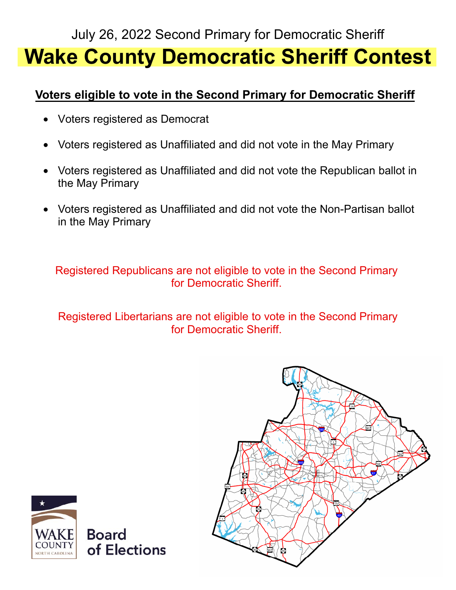

# July 26, 2022 Second Primary for Democratic Sheriff **Wake County Democratic Sheriff Contest**

#### **Voters eligible to vote in the Second Primary for Democratic Sheriff**

- Voters registered as Democrat
- Voters registered as Unaffiliated and did not vote in the May Primary
- Voters registered as Unaffiliated and did not vote the Republican ballot in the May Primary
- Voters registered as Unaffiliated and did not vote the Non-Partisan ballot in the May Primary

Registered Republicans are not eligible to vote in the Second Primary for Democratic Sheriff.

Registered Libertarians are not eligible to vote in the Second Primary for Democratic Sheriff.



### **Board** of Elections